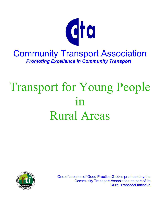

# Transport for Young People in Rural Areas



One of a series of Good Practice Guides produced by the Community Transport Association as part of its Rural Transport Initiative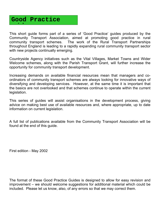# **Good Practice id**

This short guide forms part of a series of 'Good Practice' guides produced by the Community Transport Association, aimed at promoting good practice in rural community transport schemes. The work of the Rural Transport Partnerships throughout England is leading to a rapidly expanding rural community transport sector with new projects continually emerging.

Countryside Agency initiatives such as the Vital Villages, Market Towns and Wider Welcome schemes, along with the Parish Transport Grant, will further increase the opportunity for community transport development.

Increasing demands on available financial resources mean that managers and coordinators of community transport schemes are always looking for innovative ways of diversifying and developing services. However, at the same time it is important that the basics are not overlooked and that schemes continue to operate within the current legislation.

This series of guides will assist organisations in the development process, giving advice on making best use of available resources and, where appropriate, up to date information on current legislation.

A full list of publications available from the Community Transport Association will be found at the end of this guide.

First edition - May 2002

The format of these Good Practice Guides is designed to allow for easy revision and improvement – we should welcome suggestions for additional material which could be included. Please let us know, also, of any errors so that we may correct them.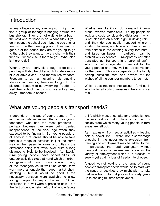# **Introduction**

In any village on any evening you might well find a group of teenagers hanging around the bus shelter. They are not waiting for a bus – the next one of those is on Wednesday if you don't count the school bus – but the bus shelter seems to be the meeting place. They want to get out of the house, they are too young to go to the pub, they want to have a chat with their friends – where else is there to go? What else is there to do?

When they are nearly old enough to go to the pub they will also be old enough to ride a motor bike or drive a car – and therein lies freedom. Freedom to get an evening job stacking shelves in Tesco's, freedom to go to the pictures, freedom to go swimming, freedom to visit their school friends who live a long way away – freedom to choose.

Whether we like it or not, 'transport' in rural areas involves motor cars. Young people do walk and cycle considerable distances – which is not pleasant on a cold night in driving rain – and they do use public transport where it exists. However, a village which has a bus or train service in the evening is very fortunate – and fares on buses, in particular, can be prohibitively expensive. Transport by car often translates as 'transport in a parental car' – which is not independent transport for the young person and may well not be convenient for the parent. This also depends on the family having sufficient cars and drivers for the wishes of all the younger members to be met.

Which does not take into account families in which – for all sorts of reasons - there is no car at all.

# What are young people's transport needs?

It depends on the age of young person. The introduction above implied that it was young teenagers who had the most problems – perhaps because they were being denied independence at the very age when they expected to be finding it. But young people of all ages in rural areas should be able to take part in a range of activities in just the same way as their peers in towns and cities – the difference being that travel over quite a long distance is likely to be involved. Admittedly, rural young people have opportunities for outdoor activities close at hand which an urban youngster would have to travel to – and many of the teenagers could well find casual farm work more amenable than supermarket shelfstacking – but it would be good if the necessary transport were available to allow young people to enjoy choices. 'Social exclusion' is a well-worn expression now – but the fact of people being left out of whole facets

of life which most of us take for granted is none the less real for that. There is too much of society from which many young people in rural areas are left out.

As if exclusion from social activities – leading half a social life – were not disadvantage enough, in the upper teens exclusion from training and employment may be added to this. In particular, the rural youngster without transport faces a severe restriction in the variety of employment which it is practical to seek – yet again a loss of freedom to choose.

A good way of looking at the range of young people's transport needs would be to start with the range of activities they might wish to take part in – from informal play in the early years up to seeking full-time employment.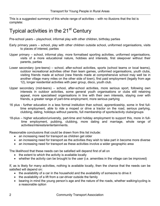This is a suggested summary of this whole range of activities – with no illusions that the list is complete:

# Typical activities in the 21<sup>st</sup> Century

Pre-school years – playschool, informal play with other children, birthday parties

- Early primary years school, play with other children outside school, uniformed organisations, visits to places of interest, parties
- Upper primary school, informal play, more formalised sporting activities, uniformed organisations, visits of a more educational nature, hobbies and interests, first sleepover without their parents, parties
- Lower secondary (pre-teens) school, after-school activities, sports (school teams or local teams), outdoor recreational activities other than team games, uniformed organisations, youth clubs, visiting friends made at school (new friends made at comprehensive school may well be in another village many miles on the other side of town), first paid employment (legally from age 12), longer residential activities with peer group, disco, youth club.
- Upper secondary (mid-teens) school, after-school activities, more serious sport, following own interests in outdoor activities, some general youth organisations or clubs still retaining appeal, more specialised organisations in line with their own interests, staying over with friends, a greater range of part-time employment, more serious partying
- 16 plus further education in a less formal institution than school, apprenticeship, some in first fulltime employment, able to ride a moped or drive a tractor on the road, serious partying, clubbing, dating, holidays without parents, full membership of sports/activity clubs/groups
- 18-plus higher education/university, part-time and holiday employment to support this, more in fulltime employment, pubbing, clubbing, more dating and marriage, whole range of activities/interests/entertainments.

Reasonable conclusions that could be drawn from this list include:

- an increasing need for transport as children get older
- an increasing need for transport as the activities they wish to take part in become more diverse
- an increasing need for transport as these activities involve a wider geographic area

The likelihood that these needs can be satisfied will depend first of all on

- the extent to which the activity is available locally
- whether the activity can be brought to the user (i.e. amenities in the village can be improved)

If, as is likely for many activities, nothing is available locally, then the chance that the needs can be satisfied will depend on:

- the availability of a car in the household and the availability of someone to drive it
- the availability of a lift from a car-driver outside the family
- bearing in mind the young person's age and the nature of the roads, whether walking/cycling is a reasonable option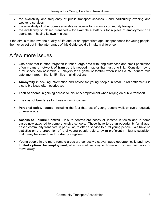- the availability and frequency of public transport services and particularly evening and weekend services
- the availability of other openly available services for instance community transport
- the availability of 'closed' transport for example a staff bus for a place of employment or a sports team having its own minibus

If the aim is to improve the quality of life and, at an appropriate age, independence for young people, the moves set out in the later pages of this Guide could all make a difference.

# A few more issues

- One point that is often forgotten is that a large area with long distances and small population often means a **network of transport** is needed – rather than just one link. Consider how a rural school can assemble 22 players for a game of football when it has a 750 square mile catchment-area – that is 15 miles in all directions.
- **Anonymity** in seeking information and advice for young people in small, rural settlements is also a big issue often overlooked.
- **Lack of choice** in gaining access to leisure & employment when relying on public transport.
- The **cost of bus fares** for those on low incomes
- **Personal safety issues**, including the fact that lots of young people walk or cycle regularly on rural roads.
- **Access to Leisure Centres** leisure centres are nearly all located in towns and in some cases now attached to comprehensive schools. These have to be an opportunity for villagebased community transport, in particular, to offer a service to rural young people. We have no statistics on the proportion of rural young people able to swim proficiently – just a suspicion that it may be lower than for urban youngsters.
- Young people in the more remote areas are seriously disadvantaged geographically and have **limited options for employment**, often as stark as stay at home and do low paid work or move away.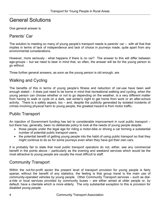# General Solutions

One general answer is

# Parents' Car

The solution to meeting so many of young people's transport needs is parents' car – with all that that implies in terms of lack of independence and lack of choice in journeys made, quite apart from any environmental considerations.

However, more seriously - what happens if there is no car? The answer to this will differ between age-groups – but we need to bear in mind that, so often, the answer will be for the young person to go without.

Three further general answers, as soon as the young person is old enough, are

# Walking and Cycling

The benefits of this in terms of young people's fitness and reduction of car-use have been well enough stated – it does just need to be borne in mind that recreational walking and cycling, when the young person can choose whether or not to go depending on the weather, is a very different matter from having to walk or cycle on a dark, wet winter's night to get home from work or an after-school activity. There is a safety aspect, too – and, despite the publicity generated by isolated incidents of crimes involving physical harm to young people, the greatest hazard is from motor traffic.

# Public Transport

An injection of Government funding has led to considerable improvement in rural public transport – but there has, generally, been no deliberate policy to look at the needs of young people despite:

- those people under the legal age for riding a motor-bike or driving a car forming a substantial number of potential public transport users;
- the potential benefit of getting young people into the habit of using public transport so that they might continue to do so for some journeys even when they have got their own cars.

It is probably fair to state that most public transport operators do not, either, see any commercial benefit in the points above – particularly as the evening and weekend services which would be the most attractive to young people are usually the most difficult to staff.

# Community Transport

Within the not-for-profit sector the present level of transport provision for young people is fairly sparse; without the benefit of any statistics, the feeling is that group travel is the main use of community-operated vehicles by young people. Other Community Transport services – such as diala-ride or local services provided by community buses – are either aimed at older people or, by default, have a clientele which is more elderly. The only substantial exception to this is provision for disabled young people.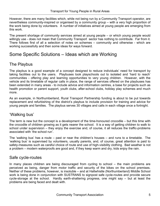However, there are many facilities which, while not being run by a Community Transport operator, are nevertheless community-inspired or organised by a community group – with a very high proportion of the work being done by volunteers. A number of initiatives aimed at young people are emerging from this work.

The present shortage of community services aimed at young people – or which young people would willingly use - does not mean that Community Transport sector has nothing to contribute. Far from it. There follows first of all a selection of notes on schemes – community and otherwise - which are working successfully and then some ideas for ways forward.

# Some Specific Solutions – Ideas which are Working

# The Playbus

The playbus is a good example of a concept designed to reduce individuals' need for transport by taking facilities out to the users. Playbuses took playschools out to isolated and 'hard to reach' communities - offering play and learning opportunities to very young children. However, with the vehicle and its timetable of regular calls in place, the range of services offered on the playbuses has been extended in many areas - to include advice and information centres, a base for projects such as health promotion or parent support, youth clubs, after-school clubs, holiday play schemes and much more.

As an example, in Northumberland, Rural Transport Partnership funding is about to be put towards replacement and refurbishing of the district's playbus to include provision for training and advice for young people and families. The playbus serves 30 villages and calls in each village once a fortnight.

# 'Walking bus'

The term is new but the concept is a development of the time-honoured crocodile – but this time with the crocodile of children growing as it gets nearer the school. It is a way of getting children to walk to school under supervision – they enjoy the exercise and, of course, it all reduces the traffic-problems associated with 'the school run'.

The 'walking bus' has a route – past or near the children's houses – and runs to a timetable. The 'walking bus' is supervised by volunteers, usually parents, and, of course, great attention is paid to safety-measures such as careful choice of route and use of high-visibility clothing. Bad weather is not a problem – modern waterproofs are good and, if they keep warm and dry, kids enjoy the rain.

# Safe cycle-routes

In many places children are being discouraged from cycling to school – the main problems are perceived as being, danger from motor traffic and security of the bikes on the school premises. Neither of these problems, however, is insoluble – and at Haltwhistle (Northumberland) Middle School work is being done in conjunction with SUSTRANS to signpost safe cycle-routes and provide secure cycle-storage at the school. Hardly earth-shattering progress, one might say – but at least the problems are being faced and dealt with.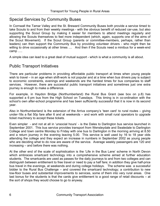# Special Services by Community Buses

In Cornwall the Tamar Valley and the St. Breward Community Buses both provide a service timed to take Scouts to and from their weekly meetings - with the obvious benefit of reduced car-use, but also supporting the Scout Group by making it easier for members to attend meetings regularly and allowing the Scouts themselves to feel more independent (which, again, supports one of the aims of the Scout Movement). If the Scout Group (parents or committee-members, perhaps, rather than leaders) can then support the Community Bus by providing volunteer drivers - who might then be willing to drive occasionally at other times .... And then if the Scouts need a minibus for a week-end camp .....

A simple idea can lead to a great deal of mutual support - which is what a community is all about.

### Public Transport Initiatives

There are particular problems in providing affordable public transport at times when young people wish to travel – in an age when shift-work is not popular and at a time when bus drivers pay is subject to economic constraints, evenings and weekends are the hardest times for bus companies to staff services. However, there are successful public transport initiatives and sometimes just one extra journey is enough to make a difference.

For example, in Haydon Bridge (Northumberland) the Rural Bus Grant (see box on p.8) has supported a 6 pm bus from the High School on Tuesdays. This timing is in co-ordination with the school's own after-school programme and has been sufficiently successful that it is now in its second year.

Also in Northumberland is the extension of the Arriva company's 'teen card' to rural routes – giving under-18s a flat 50p fare after 6 and at weekends – and work with small rural operators to upgrade ticket machinery to accept these tickets.

Even simpler - and not at all in 'unsocial hours' - is the Dales to Darlington bus service launched in September 2001. This bus service provides transport from Wensleydale and Swaledale to Darlington College and town centre Monday to Friday with one bus to Darlington in the morning arriving at 8.50 and a return journey in the evening leaving 5.00. This service is well used by 16 to 18 year olds attending the college and they expect an increase in numbers in September 2002 as young people who are deciding what to do now are aware of the service. Average weekly passengers are 120 and increasing – and before there was nothing.

At the other end of the scale of sophistication is the 'Life in the Bus Lane' scheme in North Devon which embraces smartcard technology into a comprehensive scheme aimed at further education students. The smartcards are used as passes for the daily journeys to and from two colleges and can distinguish between entitlement to free travel or need to pay a half fare; in addition they give half-price bus travel in the evenings, at weekends and during college holidays. The scheme was a successful bidder to the Rural Bus Challenge – and covered the smartcard technology; a contribution to new low-floor buses and substantial improvements to services, some of them into very rural areas. One last bonus for the students is that the cards give entitlement to a good range of retail discounts – at the sort of shops they would choose to go to anyway.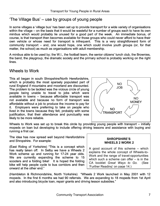# 'The Village Bus' – use by groups of young people

In some villages a 'village bus' has been set up to provide transport for a wide variety of organisations within the village – on the basis that it would be wasteful for a number of groups each to have its own minibus which would probably lie unused for a good part of the week. An immediate bonus, of course, is that transport then becomes available for those groups who could never afford to have their own vehicle or whose need for transport is infrequent. This is a very straightforward form of community transport – and, one would hope, one which could involve youth groups (or, for that matter, the school) as much as organisations with adult membership.

A minibus able to be used by; the W.I., the football team, the senior citizens' lunch club, the Brownies, the band, the playgroup, the dramatic society and the primary school is probably working on the right lines.

# Wheels to Work

This all began in south Shropshire/North Herefordshire, which is probably the most sparsely populated part of rural England if mountains and moorland are discounted. The problem to be tackled was the vicious circle of young people being unable to travel to jobs which were available in towns – because affordable transport was not available and because no form of transport was affordable without a job to produce the income to pay for it. Employers were preferring to take on people who lived in the towns because they felt, probably with some justification, that their attendance and punctuality was likely to be more reliable.



Wheels to Work was set up to break this circle by providing young people with transport – initially mopeds on loan but developing to include offering driving lessons and assistance with buying and running a first car.

The idea has now spread well beyond Herefordshire and Shropshire. For example:

(East Riding of Yorkshire) "This is a concept which has really taken off. In Selby we have a Wheels 2 Work scheme up and running for 17-24 year olds. We are currently expanding the scheme to 15 scooters and a folding bike! It is hoped the folding bike will help people cycle to bus corridors and then onward at the other end."

#### **SHROPSHIRE'S WHEELS 2 WORK 2**

A good account of this scheme – which explains the whole concept of Wheels-to-Work and the range of travel-opportunities which such a scheme can offer  $-$  is in the CA booklet *Great Ways to Go.* (See 'Further Reading' on page 14.)

(Hambleton & Richmondshire, North Yorkshire) "Wheels 2 Work launched in May 2001 with 12 mopeds. In the first 6 months we had 90 referrals. We are expanding to 18 mopeds from 1st April and also introducing bicycle loan, repair grants and driving lesson subsidies."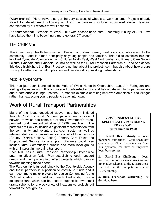(Warwickshire) "Here we've also got the very successful wheels to work scheme. Projects already slated for development following on from the research include: subsidised driving lessons, coordinated by our wheels to work scheme."

(Northumberland) "Wheels to Work - but with second-hand cars - hopefully run by ADAPT - we have talked them into becoming a more general CT group."

# The CHIP Van

The Community Health Improvement Project van takes primary healthcare and advice out to the community - and is aimed principally at young people and families. This bid to establish this has involved Tynedale Voluntary Action, Children North East, West Northumberland Primary Care Group, Leisure Tynedale and Tynedale Council as well as the Rural Transport Partnership – and one aspect this does highlight is that Best Practice is not just about the project itself - but also about how groups working together can avoid duplication and develop strong working partnerships.

# Mobile Cybercafe

This has just been launched in the Vale of White Horse in Oxfordshire, based in Faringdon and visiting villages around. It is a converted double-decker bus and has a café with lap-tops downstairs and a comfortable lounge upstairs – a modern example of taking improved amenities out to villages rather than expecting young people to travel into town.

# Work of Rural Transport Partnerships

Many of the ideas described above have been initiated through Rural Transport Partnerships – a very successful network of which has come out of the Government's threepronged rural transport initiative of 1998 (see box). The partners are likely to include a significant representation from the community and voluntary transport sector as well as relevant statutory organisations - any or all of local councils (County, District, Unitary, Parish), Primary Care Trusts, the Employment Service for example. Partners could also include Rural Community Councils and more local groups with an interest in improving transport.

Each RTP has a Rural Transport Partnership Officer who puts into effect an Action Plan establishing local transport needs and then putting into effect projects which can go towards meeting those needs.

The Partnership is funded jointly by the Countryside Agency and those partners in a position to contribute funds and it can recommend major projects to receive CA funding (up to 75% of costs). In addition, each Partnership has a delegated fund which can be used to support its own small grants scheme for a wide variety of inexpensive projects put forward by local groups.

#### **GOVERNMENT FUNDS SPECIFICALLY FOR RURAL TRANSPORT (introduced in 1998)**

**1. Rural Bus Subsidy –** local transport authorities (County/Unitary Councils or PTEs) invite tenders from bus operators for new or improved local bus services.

**2. Rural Bus Challenge –** local transport authorities (as above) submit innovative schemes to the DTLR; those successful in the competition receive 100% funding.

**sport Partnership –** as **3. Rural Tran** described here.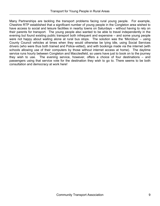Many Partnerships are tackling the transport problems facing rural young people. For example, Cheshire RTP established that a significant number of young people in the Congleton area wished to have access to social and leisure facilities in nearby towns on Saturdays – without having to rely on their parents for transport. The young people also wanted to be able to travel independently in the evening but found existing public transport both infrequent and expensive – and some young people were not happy about waiting alone at rural bus stops. The solution was the 'Microbus' – using County Council vehicles at times when they would otherwise be lying idle, using Social Services drivers (who were thus both trained and Police-vetted), and with bookings made via the internet (with schools allowing use of their computers by those without internet access at home). The daytime service runs hourly between Congleton and Macclesfield, so users have just to book on to the journey they wish to use. The evening service, however, offers a choice of four destinations – and passengers using that service vote for the destination they wish to go to. There seems to be both consultation and democracy at work here!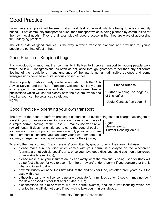# Good Practice

From these examples it will be seen that a great deal of the work which is being done is community based – if not community transport as such, then transport which is being planned by communities for their own local needs. They are all examples of 'good practice' in that they are ways of addressing the underlying problem.

The other side of 'good practice' is the way in which transport planning and provision for young people are put into effect – thus:

# Good Practice – Keeping it Legal

It is – obviously – important that community initiatives to improve transport for young people work within the law. Transgressions, as often as not, arise through ignorance rather than any deliberate flouting of the regulations – but ignorance of the law is not an admissible defence and some transgressions could have quite serious consequences.

There is plenty of advice freely available – starting with the CTA Advice Service and our Rural Transport Officers. Similarly there is a range of inexpensive  $-$  and also, in some cases, free  $$ publications which will set out clearly how 'the system' works and how transport can be organised safely and legally.

**Please refer to …** 

"Further Reading" on page 17 of this leaflet

"Useful Contacts" on page 16

# Good Practice – operating your own transport

The days of the need to perform grotesque contortions to avoid being seen to charge passengers to

travel in your organisation's minibus are long gone – purchase of a simple permit (costing, at the most, £8) makes use 'for hire or reward' legal. It does not entitle you to carry the general public – you are not running a public bus service – but, provided you are not a commercial concern, you can carry your own members and you may charge them a non-profit-making fare for their journey.

Again – please refer to 'Further Reading' on p.17

To avoid the most common 'transgressions' committed by groups running their own minibuses:

- please make sure the disc which comes with your permit is displayed on the windscreen (permits are not vehicle-specific and, once you have got a disc, you could use it on a borrowed or self-drive hire minibus);
- please make sure your insurers are clear exactly what the minibus is being used for (they will be perfectly happy for you to use it 'for hire or reward' under a permit if you declare that that is what you intend to do);
- new minibuses will need their first MoT at the end of Year One, not after three years as is the case with a car;
- although a car driving-licence is usually adequate for a minibus up to 16 seats, it may not be if the driver passed his/her test after  $1<sup>st</sup>$  Jan. 1997;
- dispensations on hire-or-reward (i.e. the permit system) and on driver-licensing which are granted in the UK do not apply if you wish to take your minibus abroad.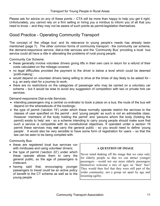Please ask for advice on any of these points – CTA will be more than happy to help you get it right. Unfortunately, you cannot rely on a firm selling or hiring you a minibus to inform you of all that you need to know – and they may not be aware of such points as permit-legislation themselves.

# Good Practice - Operating Community Transport

The concept of 'the village bus' and its relevance to young people's needs has already been mentioned (page 7). The other common forms of community transport - the community car scheme, the demand-responsive service, dial-a-ride services and the 'Community Bus' providing a local bus service could all have a rôle in alleviating the problems of rural young people.

Community Car Scheme:

- these generally involve volunteer drivers giving lifts in their own cars in return for a refund of their costs calculated on the mileage covered;
- no legal difficulties provided the payment to the driver is below a level which could be deemed 'profit-making';
- would depend on volunteer drivers being willing to drive at the times of day likely to be asked for e.g. an early start for a journey to work;
- there are no restrictions on the categories of passenger who may be carried on a voluntary car scheme – but it would be wise to avoid any suggestion of competition with taxi or private hire car services.

Demand-responsive Dial-a-ride Services:

- intending passengers ring a central co-ordinator to book a place on a bus; the route of the bus will depend on the whereabouts of the bookings;
- the type of permit ('section 19') under which these normally operate restrict the services to the classes of user specified on the permit - and 'young people' as such is not an admissible class. However 'members of the body holding the permit' and 'persons whom the body (holding the permit) exists to help' are - so a scheme intending to carry young people should make sure that such a service is compatible with its constitutional objectives. If operated under a section 19 permit these services may **not** carry the general public - so you would need to define 'young people'. It would also be very sensible to have some form of registration for users – so that the law can be seen to be being complied with.

Community Bus:

- these are registered local bus services run with minibuses and using volunteer drivers;
- the type of permit ('section 22') under which these operate allows them to carry the general public, so the age of passengers is irrelevant;
- having said that, encouraging younger passengers to travel could be an active policy of benefit to the CT scheme as well as to the young people

#### **A QUESTION OF IMAGE**

Never mind shaking off the image that we cater only for elderly people so that we can attract younger passengers - would not our more elderly passengers themselves welcome a mix of ages on 'their' bus? They would then feel that they were still part of the wider community, not a group set apart by age and lessening agility.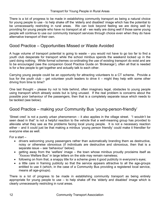There is a lot of progress to be made in establishing community transport as being a natural choice for young people to use - to help shake off the 'elderly and disabled' image which has the potential to be unnecessarily restricting in rural areas. We can look beyond feeling we are doing well by providing for young people who have no transport at all - we really are doing well if those same young people will continue to use our community transport services through choice even when they do have alternative transport of their own.

### Good Practice – Opportunities Missed or Waste Avoided

A huge volume of transport potential is going to waste – you would not have to go too far to find a youth club desperate for transport while the school minibus spends the weekend locked up in the yard doing nothing. While formal schemes co-ordinating the use of existing transport do exist and are to be encouraged (see the companion Good Practice Guide on 'Brokerage'), often all that is needed is for a few people to get together and actually talk to each other.

Carrying young people could be an opportunity for attracting volunteers to a CT scheme. Provide a bus for the youth club – get volunteer youth leaders to drive it – might they help with some other driving from time to time?

One last thought – please try not to hide behind, often imaginary legal, obstacles to young people using transport which already exists but is lying unused. If the real problem is concerns about the possible poor behaviour of the passengers, then that is a completely separate issue which needs to be tackled (see below).

### Good Practice – making your Community Bus 'young-person-friendly'

'Street cred' is not a purely urban phenomenon – it also applies in the village street. "I wouldn't be seen dead in that" is not a helpful reaction to the vehicle that a well-meaning group has provided to alleviate what they see as the problems facing local young people. It is not a necessary reaction either – and it could just be that making a minibus 'young person friendly' could make it friendlier for everyone else as well.

For a start –

- drivers welcoming young passengers rather than automatically branding them as destructive, noisy or otherwise obnoxious (if individuals are destructive and obnoxious, then that is a separate issue – see 'behaviour' below);
- getting away from the 'welfare' image the town whose minibus proudly proclaims itself as "Xxxxxx Welfare Bus" in large letters on the side may remain nameless;
- following on from that, a snappy title for a scheme gives it good publicity in everyone's eyes;
- a little care in framing publicity so that the service appears attractive to all the age-groups entitled to use it (which, in the case of a Community Bus providing a registered local service, means all age-groups).

There is a lot of progress to be made in establishing community transport as being entirely appropriate for young people to use – to help shake off the 'elderly and disabled' image which is clearly unnecessarily restricting in rural areas.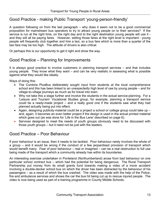# Good Practice - making Public Transport 'young-person-friendly'

A question following on from the last paragraph – why does it seem not to be a good commercial proposition for mainstream bus operators to try to attract young people on to their services? If the service is run at the right time, on the right day and to the right destination young people will use it and they will all be paying fares. However, setting those fares at the right level is important - young people will frequently club together and hire a taxi, so a bus fare which is more than a quarter of the taxi fare may be too high. The attitude of drivers is also critical.

Or perhaps this is our opportunity to get it right and show the way.

### Good Practice – Planning for Improvements

It is always good practice to involve customers in planning transport services – and that includes young people. They know what they want – and can be very realistic in assessing what is possible against what they would like ideally.

Ways of doing this:

- The Cumbria PlusBus deliberately sought input from students at the local comprehensive school and this has been linked to an unexpectedly high level of use by young people – and for village-to-village journeys as much as for travel into town.
- Why not take this a stage further and involve the students in the actual service-planning. For a 'Leisure and Tourism' Vocational Studies group, for example, planning a transport service could be a ready-made project – and a really good one if the students saw what they had planned actually being put into effect.
- Again, designing publicity-material could be a project a school or college group could take up and, again, it becomes an even better project if the design is used in the actual printed material which goes out (as was done for 'Life in the Bus Lane' described on page 6).
- Services designed to meet the needs of youth groups obviously need to be discussed with those youth groups – but it need not be just with the leaders.

# Good Practice – Poor Behaviour

If poor behaviour is an issue, then it needs to be tackled. Poor behaviour rarely involves the whole of a group – and it would be wrong if the conduct of a few jeopardised provision of transport which would benefit many. Fear of poor behaviour – real or imagined – can be a real obstruction to full use being made of the transport which a community already has within its boundaries.

An interesting exercise undertaken in Ponteland (Northumberland) arose from bad behaviour on one particular school contract bus – which had the potential for being dangerous. The Rural Transport Partnership put money from its small grants fund towards making a video of a mock accident involving a double-decker school bus on which the driver has been distracted by the behaviour of his passengers – as a result of which the bus crashed. The video was made with the help of the Police, fire and ambulance services and shows the car the bus hit being cut up to rescue injured people. The video is now being used as part of a training programme in County Middle Schools.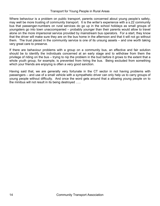Where behaviour is a problem on public transport, parents concerned about young people's safety, may well be more trusting of community transport. It is the writer's experience with a s.22 community bus that passenger-numbers on rural services do go up in the school holidays as small groups of youngsters go into town unaccompanied – probably younger than their parents would allow to travel alone on the more impersonal service provided by mainstream bus operators. For a start, they know that the driver will make sure they are on the bus home in the afternoon and that it will not go without them. The trust placed in the community service is one of its unsung assets – and one worth taking very great care to preserve.

If there are behaviour problems with a group on a community bus, an effective and fair solution should be to identify the individuals concerned at an early stage and to withdraw from them the privilege of riding on the bus – trying to nip the problem in the bud before it grows to the extent that a whole youth group, for example, is prevented from hiring the bus. Being excluded from something which your friends are enjoying is often a very good sanction.

Having said that, we are generally very fortunate in the CT sector in not having problems with passengers – and use of a small vehicle with a sympathetic driver can only help us to carry groups of young people without difficulty. And once the word gets around that a allowing young people on to the minibus will not result in its being destroyed …..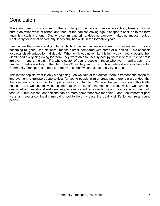# Conclusion

The young person who comes off the farm to go to primary and secondary school, takes a minimal part in activities while at school and then, at the earliest leaving-age, disappears back on to the farm again is a statistic of one. One who commits no crime, does no damage, makes no impact – but, at least partly for lack of opportunity, leads only half a life in the formative years.

Even where there are social problems which do cause concern – and many of our market towns are becoming rougher – the statistical impact is small compared with some of our cities. This conceals very real disadvantage for individuals. Whether "it was never like this in my day – young people then didn't need everything doing for them; they were able to usefully occupy themselves" is true or not is irrelevant – and unhelpful. If a whole sector of young people – those who live in rural areas – are unable to participate fully in the life of the 21<sup>st</sup> century and if we, with an interest and involvement in Community Transport, can help to remedy this, then we should certainly try to do so.

This leaflet depicts what is only a beginning. As we said at the outset, there is tremendous scope for improvement to transport-opportunities for young people in rural areas and there is a great deal that the community transport sector in particular can contribute. We hope that you have found this leaflet helpful – but we should welcome information on other schemes and ideas which we have not described and we should welcome suggestions for further aspects of good practice which we could feature. Thus subsequent editions can be more comprehensive than this – and, the important part, we shall have a continually improving tool to help increase the quality of life for our rural young people.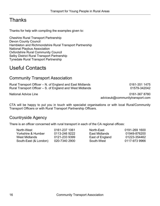# Thanks

Thanks for help with compiling the examples given to:

Cheshire Rural Transport Partnership Devon County Council Hambleton and Richmondshire Rural Transport Partnership National Playbus Association Oxfordshire Rural Community Council Selby District Rural Transport Partnership Tynedale Rural Transport Partnership

# Useful Contacts

### Community Transport Association

Rural Transport Officer – N. of England and East Midlands 0161-351 1475 Rural Transport Officer – S. of England and West Midlands 01579-342042

National Advice Line 0161-367 8780 adviceuk@communitytransport.com

CTA will be happy to put you in touch with specialist organisations or with local Rural/Community Transport Officers or with Rural Transport Partnership Officers.

### Countryside Agency

There is an officer concerned with rural transport in each of the CA regional offices:

| North-West_           | 0161-237 1061 | North-East      | 0191-269 1600 |
|-----------------------|---------------|-----------------|---------------|
| Yorkshire & Humber    | 0113-246 9222 | East Midlands   | 01949-876200  |
| West Midlands         | 0121-233 9399 | East of England | 01223-354462  |
| South-East (& London) | 020-7340 2900 | South-West      | 0117-973 9966 |